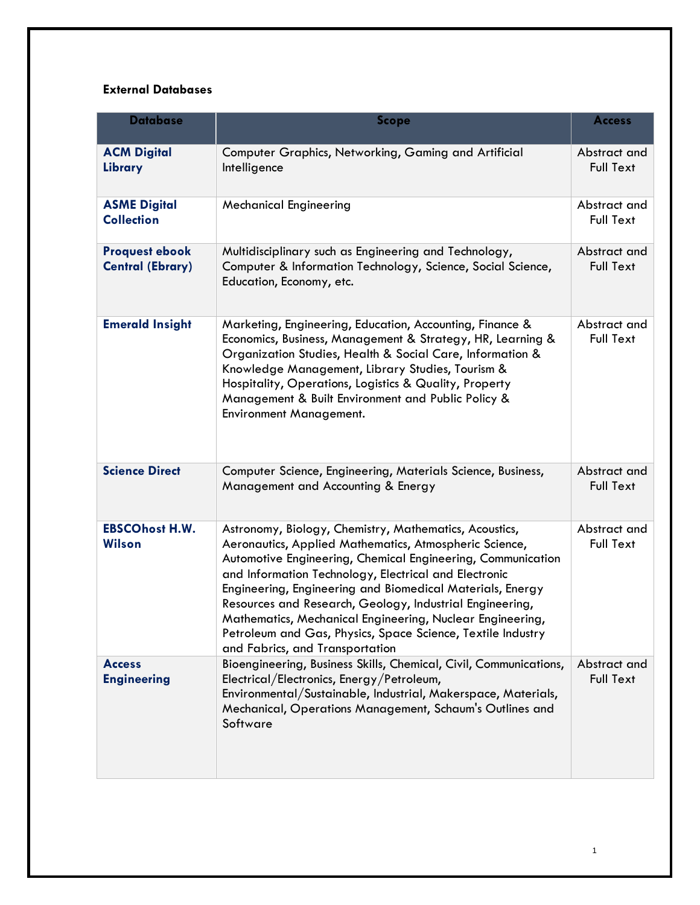## **External Databases**

| <b>Database</b>                                  | <b>Scope</b>                                                                                                                                                                                                                                                                                                                                                                                                                                                                                                                     | <b>Access</b>                    |
|--------------------------------------------------|----------------------------------------------------------------------------------------------------------------------------------------------------------------------------------------------------------------------------------------------------------------------------------------------------------------------------------------------------------------------------------------------------------------------------------------------------------------------------------------------------------------------------------|----------------------------------|
| <b>ACM Digital</b><br>Library                    | Computer Graphics, Networking, Gaming and Artificial<br>Intelligence                                                                                                                                                                                                                                                                                                                                                                                                                                                             | Abstract and<br><b>Full Text</b> |
| <b>ASME Digital</b><br><b>Collection</b>         | <b>Mechanical Engineering</b>                                                                                                                                                                                                                                                                                                                                                                                                                                                                                                    | Abstract and<br><b>Full Text</b> |
| <b>Proquest ebook</b><br><b>Central (Ebrary)</b> | Multidisciplinary such as Engineering and Technology,<br>Computer & Information Technology, Science, Social Science,<br>Education, Economy, etc.                                                                                                                                                                                                                                                                                                                                                                                 | Abstract and<br><b>Full Text</b> |
| <b>Emerald Insight</b>                           | Marketing, Engineering, Education, Accounting, Finance &<br>Economics, Business, Management & Strategy, HR, Learning &<br>Organization Studies, Health & Social Care, Information &<br>Knowledge Management, Library Studies, Tourism &<br>Hospitality, Operations, Logistics & Quality, Property<br>Management & Built Environment and Public Policy &<br>Environment Management.                                                                                                                                               | Abstract and<br><b>Full Text</b> |
| <b>Science Direct</b>                            | Computer Science, Engineering, Materials Science, Business,<br>Management and Accounting & Energy                                                                                                                                                                                                                                                                                                                                                                                                                                | Abstract and<br><b>Full Text</b> |
| <b>EBSCOhost H.W.</b><br>Wilson                  | Astronomy, Biology, Chemistry, Mathematics, Acoustics,<br>Aeronautics, Applied Mathematics, Atmospheric Science,<br>Automotive Engineering, Chemical Engineering, Communication<br>and Information Technology, Electrical and Electronic<br>Engineering, Engineering and Biomedical Materials, Energy<br>Resources and Research, Geology, Industrial Engineering,<br>Mathematics, Mechanical Engineering, Nuclear Engineering,<br>Petroleum and Gas, Physics, Space Science, Textile Industry<br>and Fabrics, and Transportation | Abstract and<br>Full Text        |
| <b>Access</b><br><b>Engineering</b>              | Bioengineering, Business Skills, Chemical, Civil, Communications,<br>Electrical/Electronics, Energy/Petroleum,<br>Environmental/Sustainable, Industrial, Makerspace, Materials,<br>Mechanical, Operations Management, Schaum's Outlines and<br>Software                                                                                                                                                                                                                                                                          | Abstract and<br><b>Full Text</b> |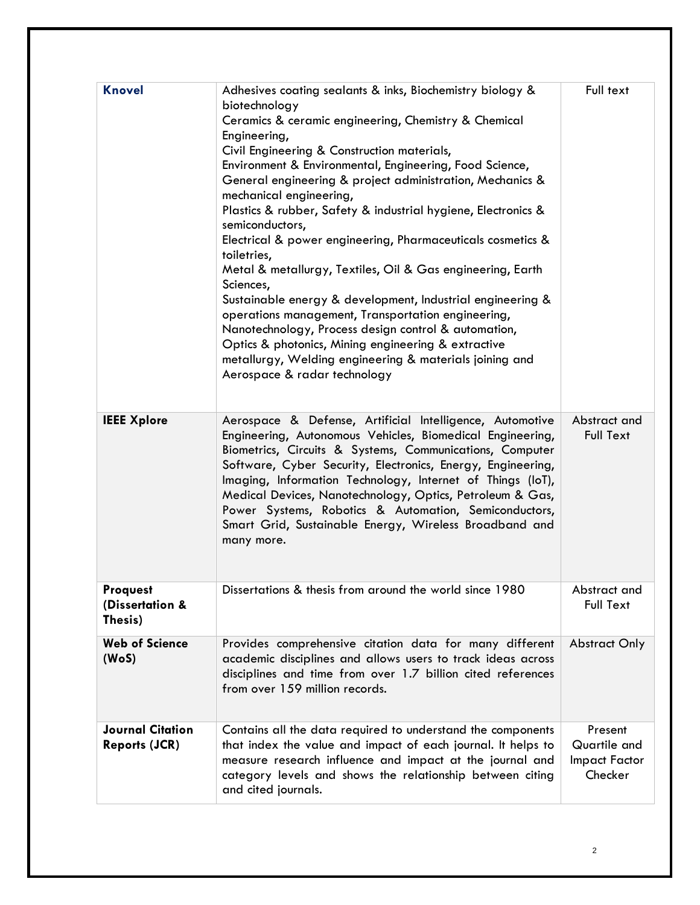| <b>Knovel</b>                                   | Adhesives coating sealants & inks, Biochemistry biology &<br>biotechnology<br>Ceramics & ceramic engineering, Chemistry & Chemical<br>Engineering,<br>Civil Engineering & Construction materials,<br>Environment & Environmental, Engineering, Food Science,<br>General engineering & project administration, Mechanics &<br>mechanical engineering,<br>Plastics & rubber, Safety & industrial hygiene, Electronics &<br>semiconductors,<br>Electrical & power engineering, Pharmaceuticals cosmetics &<br>toiletries,<br>Metal & metallurgy, Textiles, Oil & Gas engineering, Earth<br>Sciences,<br>Sustainable energy & development, Industrial engineering &<br>operations management, Transportation engineering,<br>Nanotechnology, Process design control & automation,<br>Optics & photonics, Mining engineering & extractive<br>metallurgy, Welding engineering & materials joining and<br>Aerospace & radar technology | Full text                                           |
|-------------------------------------------------|---------------------------------------------------------------------------------------------------------------------------------------------------------------------------------------------------------------------------------------------------------------------------------------------------------------------------------------------------------------------------------------------------------------------------------------------------------------------------------------------------------------------------------------------------------------------------------------------------------------------------------------------------------------------------------------------------------------------------------------------------------------------------------------------------------------------------------------------------------------------------------------------------------------------------------|-----------------------------------------------------|
| <b>IEEE Xplore</b>                              | Aerospace & Defense, Artificial Intelligence, Automotive<br>Engineering, Autonomous Vehicles, Biomedical Engineering,<br>Biometrics, Circuits & Systems, Communications, Computer<br>Software, Cyber Security, Electronics, Energy, Engineering,<br>Imaging, Information Technology, Internet of Things (IoT),<br>Medical Devices, Nanotechnology, Optics, Petroleum & Gas,<br>Power Systems, Robotics & Automation, Semiconductors,<br>Smart Grid, Sustainable Energy, Wireless Broadband and<br>many more.                                                                                                                                                                                                                                                                                                                                                                                                                    | Abstract and<br><b>Full Text</b>                    |
| <b>Proquest</b><br>(Dissertation &<br>Thesis)   | Dissertations & thesis from around the world since 1980                                                                                                                                                                                                                                                                                                                                                                                                                                                                                                                                                                                                                                                                                                                                                                                                                                                                         | Abstract and<br><b>Full Text</b>                    |
| <b>Web of Science</b><br>(WoS)                  | Provides comprehensive citation data for many different<br>academic disciplines and allows users to track ideas across<br>disciplines and time from over 1.7 billion cited references<br>from over 159 million records.                                                                                                                                                                                                                                                                                                                                                                                                                                                                                                                                                                                                                                                                                                         | <b>Abstract Only</b>                                |
| <b>Journal Citation</b><br><b>Reports (JCR)</b> | Contains all the data required to understand the components<br>that index the value and impact of each journal. It helps to<br>measure research influence and impact at the journal and<br>category levels and shows the relationship between citing<br>and cited journals.                                                                                                                                                                                                                                                                                                                                                                                                                                                                                                                                                                                                                                                     | Present<br>Quartile and<br>Impact Factor<br>Checker |